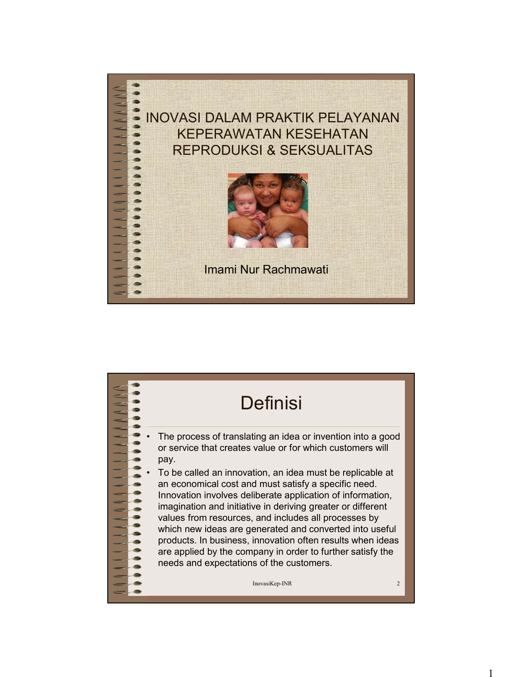

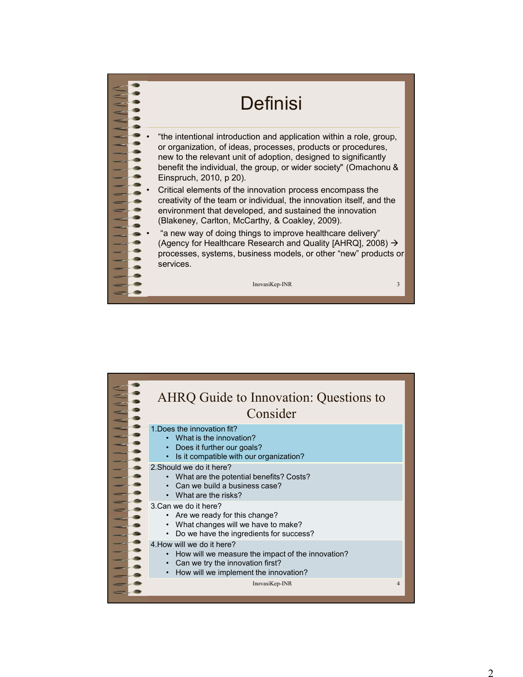

| (Blakeney, Carlton, McCarthy, & Coakley, 2009).<br>"a new way of doing things to improve healthcare delivery"<br>(Agency for Healthcare Research and Quality [AHRQ], 2008) →<br>processes, systems, business models, or other "new" products or<br>services. |                |
|--------------------------------------------------------------------------------------------------------------------------------------------------------------------------------------------------------------------------------------------------------------|----------------|
| InovasiKep-INR                                                                                                                                                                                                                                               | $\mathbf{3}$   |
|                                                                                                                                                                                                                                                              |                |
|                                                                                                                                                                                                                                                              |                |
| AHRQ Guide to Innovation: Questions to                                                                                                                                                                                                                       |                |
| Consider                                                                                                                                                                                                                                                     |                |
| 1. Does the innovation fit?<br>• What is the innovation?<br>Does it further our goals?<br>• Is it compatible with our organization?                                                                                                                          |                |
| 2. Should we do it here?<br>• What are the potential benefits? Costs?<br>• Can we build a business case?<br>• What are the risks?                                                                                                                            |                |
| 3.Can we do it here?<br>• Are we ready for this change?<br>What changes will we have to make?<br>$\bullet$<br>Do we have the ingredients for success?<br>$\bullet$                                                                                           |                |
| 4. How will we do it here?<br>How will we measure the impact of the innovation?<br>Can we try the innovation first?<br>• How will we implement the innovation?                                                                                               |                |
| InovasiKep-INR                                                                                                                                                                                                                                               | $\overline{4}$ |
|                                                                                                                                                                                                                                                              |                |
|                                                                                                                                                                                                                                                              |                |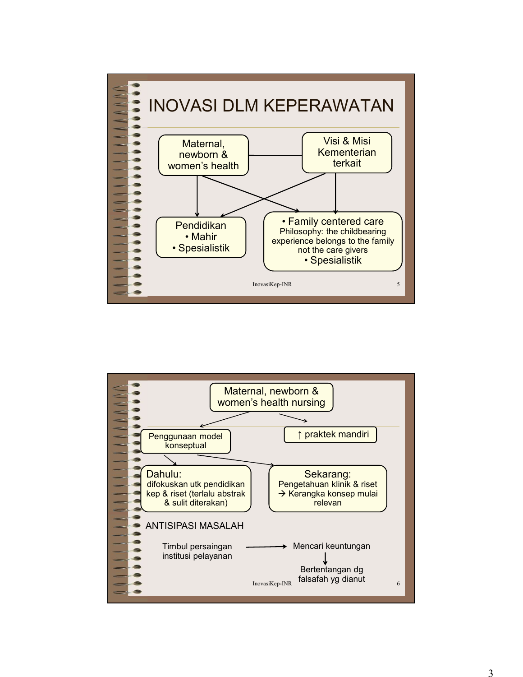

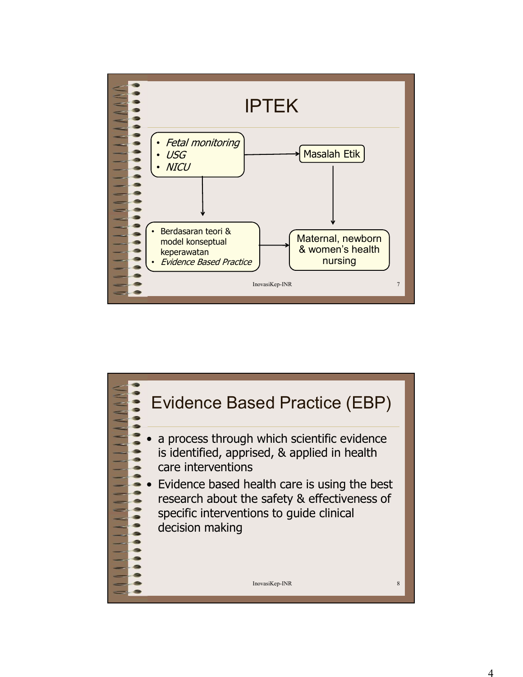

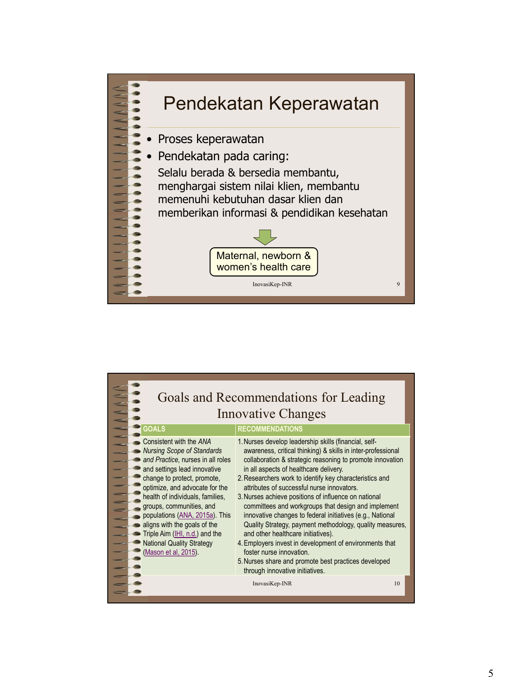

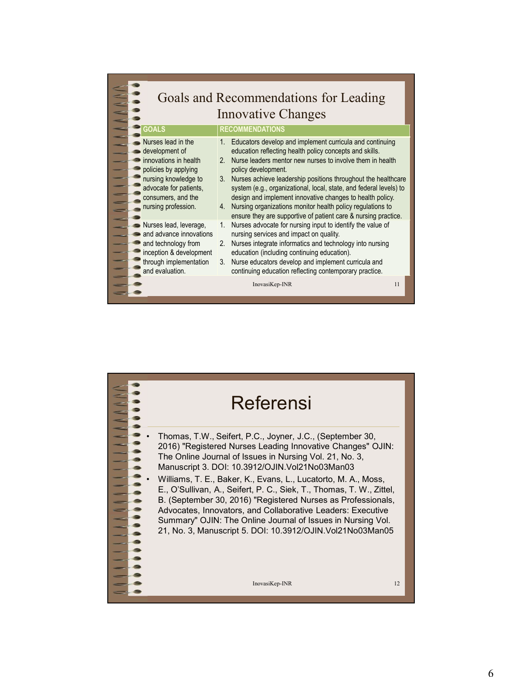|                                                                                                                                                                                      | Goals and Recommendations for Leading                                                                                                                                                                                                                                                                                                                                                                                                                                                                                                                   |  |
|--------------------------------------------------------------------------------------------------------------------------------------------------------------------------------------|---------------------------------------------------------------------------------------------------------------------------------------------------------------------------------------------------------------------------------------------------------------------------------------------------------------------------------------------------------------------------------------------------------------------------------------------------------------------------------------------------------------------------------------------------------|--|
|                                                                                                                                                                                      | <b>Innovative Changes</b>                                                                                                                                                                                                                                                                                                                                                                                                                                                                                                                               |  |
| <b>GOALS</b>                                                                                                                                                                         | <b>RECOMMENDATIONS</b>                                                                                                                                                                                                                                                                                                                                                                                                                                                                                                                                  |  |
| Nurses lead in the<br>development of<br>innovations in health<br>policies by applying<br>nursing knowledge to<br>advocate for patients,<br>consumers, and the<br>nursing profession. | 1. Educators develop and implement curricula and continuing<br>education reflecting health policy concepts and skills.<br>2. Nurse leaders mentor new nurses to involve them in health<br>policy development.<br>3. Nurses achieve leadership positions throughout the healthcare<br>system (e.g., organizational, local, state, and federal levels) to<br>design and implement innovative changes to health policy.<br>4. Nursing organizations monitor health policy regulations to<br>ensure they are supportive of patient care & nursing practice. |  |
| Nurses lead, leverage,<br>and advance innovations<br>and technology from<br>inception & development<br>through implementation<br>and evaluation.                                     | 1. Nurses advocate for nursing input to identify the value of<br>nursing services and impact on quality.<br>2. Nurses integrate informatics and technology into nursing<br>education (including continuing education).<br>3. Nurse educators develop and implement curricula and<br>continuing education reflecting contemporary practice.                                                                                                                                                                                                              |  |
|                                                                                                                                                                                      | InovasiKep-INR<br>11                                                                                                                                                                                                                                                                                                                                                                                                                                                                                                                                    |  |
|                                                                                                                                                                                      |                                                                                                                                                                                                                                                                                                                                                                                                                                                                                                                                                         |  |